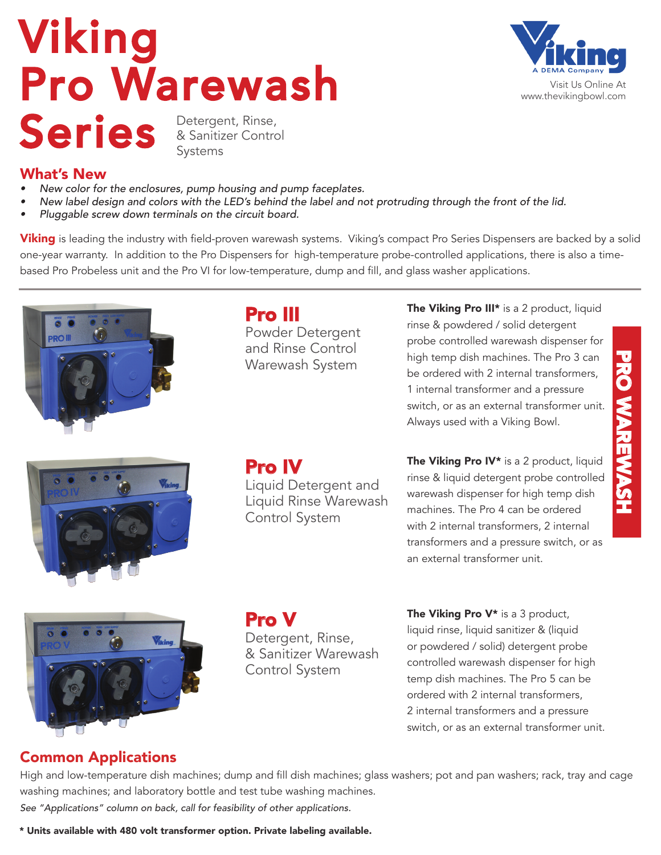# Viking Pro Warewash Series & Sanitizer Contro & Sanitizer Control Systems



What's New

- *• New color for the enclosures, pump housing and pump faceplates.*
- *• New label design and colors with the LED's behind the label and not protruding through the front of the lid.*
- *• Pluggable screw down terminals on the circuit board.*

**Viking** is leading the industry with field-proven warewash systems. Viking's compact Pro Series Dispensers are backed by a solid one-year warranty. In addition to the Pro Dispensers for high-temperature probe-controlled applications, there is also a timebased Pro Probeless unit and the Pro VI for low-temperature, dump and fill, and glass washer applications.



Pro III Powder Detergent and Rinse Control Warewash System

The Viking Pro III\* is a 2 product, liquid rinse & powdered / solid detergent probe controlled warewash dispenser for high temp dish machines. The Pro 3 can be ordered with 2 internal transformers, 1 internal transformer and a pressure switch, or as an external transformer unit. Always used with a Viking Bowl.

PRO WAREWASH

**PRO XXAREWASH** 



Pro IV

Liquid Detergent and Liquid Rinse Warewash Control System

The Viking Pro IV\* is a 2 product, liquid rinse & liquid detergent probe controlled warewash dispenser for high temp dish machines. The Pro 4 can be ordered with 2 internal transformers, 2 internal transformers and a pressure switch, or as an external transformer unit.



Pro V Detergent, Rinse, & Sanitizer Warewash Control System

The Viking Pro V<sup>\*</sup> is a 3 product, liquid rinse, liquid sanitizer & (liquid or powdered / solid) detergent probe controlled warewash dispenser for high temp dish machines. The Pro 5 can be ordered with 2 internal transformers, 2 internal transformers and a pressure switch, or as an external transformer unit.

## Common Applications

High and low-temperature dish machines; dump and fill dish machines; glass washers; pot and pan washers; rack, tray and cage washing machines; and laboratory bottle and test tube washing machines. See "Applications" column on back, call for feasibility of other applications.

\* Units available with 480 volt transformer option. Private labeling available.